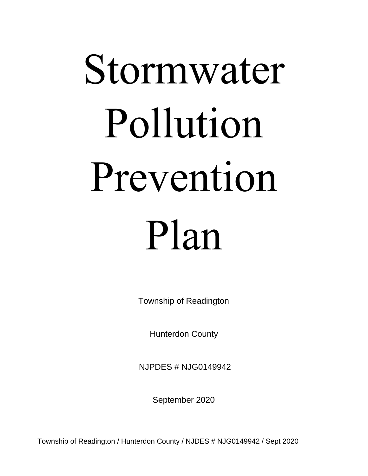# Stormwater Pollution Prevention Plan

Township of Readington

Hunterdon County<br>NJPDES # NJG0149942

September 2020

Township of Readington / Hunterdon County / NJDES # NJG0149942 / Sept 2020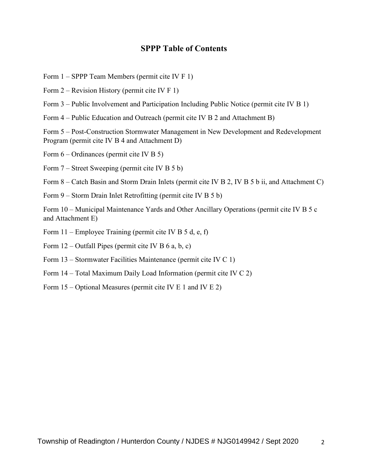#### **SPPP Table of Contents**

- Form 1 SPPP Team Members (permit cite IV F 1)
- Form 2 Revision History (permit cite IV F 1)
- Form 3 Public Involvement and Participation Including Public Notice (permit cite IV B 1)
- Form 4 Public Education and Outreach (permit cite IV B 2 and Attachment B)

Form 5 – Post-Construction Stormwater Management in New Development and Redevelopment Program (permit cite IV B 4 and Attachment D)

Form 6 – Ordinances (permit cite IV B 5)

Form 7 – Street Sweeping (permit cite IV B 5 b)

Form 8 – Catch Basin and Storm Drain Inlets (permit cite IV B 2, IV B 5 b ii, and Attachment C)

Form 9 – Storm Drain Inlet Retrofitting (permit cite IV B 5 b)

Form 10 – Municipal Maintenance Yards and Other Ancillary Operations (permit cite IV B 5 c and Attachment E)

- Form 11 Employee Training (permit cite IV B 5 d, e, f)
- Form  $12$  Outfall Pipes (permit cite IV B 6 a, b, c)
- Form 13 Stormwater Facilities Maintenance (permit cite IV C 1)
- Form 14 Total Maximum Daily Load Information (permit cite IV C 2)
- Form 15 Optional Measures (permit cite IV E 1 and IV E 2)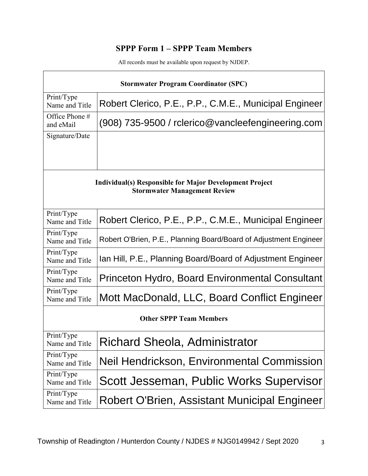## **SPPP Form 1 – SPPP Team Members**

All records must be available upon request by NJDEP.

| <b>Stormwater Program Coordinator (SPC)</b>                                                           |                                                                   |  |  |  |
|-------------------------------------------------------------------------------------------------------|-------------------------------------------------------------------|--|--|--|
| Print/Type<br>Name and Title                                                                          | Robert Clerico, P.E., P.P., C.M.E., Municipal Engineer            |  |  |  |
| Office Phone #<br>and eMail                                                                           | $(908)$ 735-9500 / rclerico@vancleefengineering.com               |  |  |  |
| Signature/Date                                                                                        |                                                                   |  |  |  |
|                                                                                                       |                                                                   |  |  |  |
| <b>Individual(s) Responsible for Major Development Project</b><br><b>Stormwater Management Review</b> |                                                                   |  |  |  |
| Print/Type<br>Name and Title                                                                          | Robert Clerico, P.E., P.P., C.M.E., Municipal Engineer            |  |  |  |
| Print/Type<br>Name and Title                                                                          | Robert O'Brien, P.E., Planning Board/Board of Adjustment Engineer |  |  |  |
| Print/Type<br>Name and Title                                                                          | Ian Hill, P.E., Planning Board/Board of Adjustment Engineer       |  |  |  |
| Print/Type<br>Name and Title                                                                          | Princeton Hydro, Board Environmental Consultant                   |  |  |  |
| Print/Type<br>Name and Title                                                                          | Mott MacDonald, LLC, Board Conflict Engineer                      |  |  |  |
| <b>Other SPPP Team Members</b>                                                                        |                                                                   |  |  |  |
| Print/Type<br>Name and Title                                                                          | Richard Sheola, Administrator                                     |  |  |  |
| Print/Type<br>Name and Title                                                                          | Neil Hendrickson, Environmental Commission                        |  |  |  |
| Print/Type<br>Name and Title                                                                          | Scott Jesseman, Public Works Supervisor                           |  |  |  |
| Print/Type<br>Name and Title                                                                          | Robert O'Brien, Assistant Municipal Engineer                      |  |  |  |

3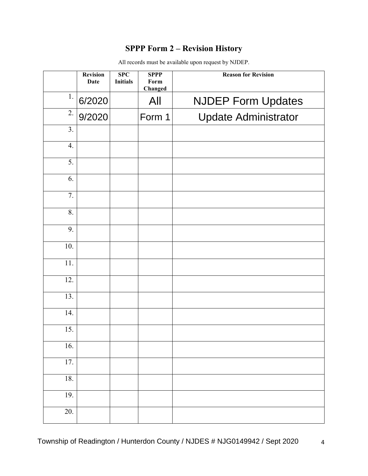# **SPPP Form 2 – Revision History**

|                  | <b>Revision</b><br><b>Date</b> | <b>SPC</b><br><b>Initials</b> | <b>SPPP</b><br>Form<br>Changed | <b>Reason for Revision</b>  |
|------------------|--------------------------------|-------------------------------|--------------------------------|-----------------------------|
| 1.               | 6/2020                         |                               | All                            | <b>NJDEP Form Updates</b>   |
| 2.               | 9/2020                         |                               | Form 1                         | <b>Update Administrator</b> |
| 3.               |                                |                               |                                |                             |
| 4.               |                                |                               |                                |                             |
| $\overline{5}$ . |                                |                               |                                |                             |
| 6.               |                                |                               |                                |                             |
| 7.               |                                |                               |                                |                             |
| 8.               |                                |                               |                                |                             |
| 9.               |                                |                               |                                |                             |
| 10.              |                                |                               |                                |                             |
| 11.              |                                |                               |                                |                             |
| 12.              |                                |                               |                                |                             |
| 13.              |                                |                               |                                |                             |
| 14.              |                                |                               |                                |                             |
| 15.              |                                |                               |                                |                             |
| 16.              |                                |                               |                                |                             |
| 17.              |                                |                               |                                |                             |
| 18.              |                                |                               |                                |                             |
| 19.              |                                |                               |                                |                             |
| 20.              |                                |                               |                                |                             |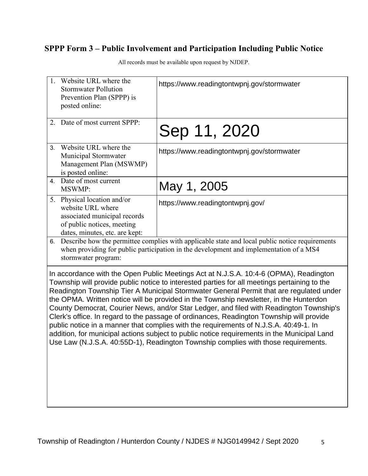# **SPPP Form 3 – Public Involvement and Participation Including Public Notice**

| 1. Website URL where the<br><b>Stormwater Pollution</b><br>Prevention Plan (SPPP) is<br>posted online: |                                                                                                                                                                                                                 | https://www.readingtontwpnj.gov/stormwater                                                                                                                                                                                                                                                                                                                                                                                                                                                                                                                                                                                                                                                                                                                                                                                                      |  |  |
|--------------------------------------------------------------------------------------------------------|-----------------------------------------------------------------------------------------------------------------------------------------------------------------------------------------------------------------|-------------------------------------------------------------------------------------------------------------------------------------------------------------------------------------------------------------------------------------------------------------------------------------------------------------------------------------------------------------------------------------------------------------------------------------------------------------------------------------------------------------------------------------------------------------------------------------------------------------------------------------------------------------------------------------------------------------------------------------------------------------------------------------------------------------------------------------------------|--|--|
|                                                                                                        | 2. Date of most current SPPP:                                                                                                                                                                                   | Sep 11, 2020                                                                                                                                                                                                                                                                                                                                                                                                                                                                                                                                                                                                                                                                                                                                                                                                                                    |  |  |
| 3 <sub>1</sub>                                                                                         | Website URL where the<br>Municipal Stormwater<br>Management Plan (MSWMP)<br>is posted online:                                                                                                                   | https://www.readingtontwpnj.gov/stormwater                                                                                                                                                                                                                                                                                                                                                                                                                                                                                                                                                                                                                                                                                                                                                                                                      |  |  |
| 4.                                                                                                     | Date of most current<br><b>MSWMP:</b>                                                                                                                                                                           | May 1, 2005                                                                                                                                                                                                                                                                                                                                                                                                                                                                                                                                                                                                                                                                                                                                                                                                                                     |  |  |
|                                                                                                        | 5. Physical location and/or<br>website URL where<br>associated municipal records<br>of public notices, meeting<br>dates, minutes, etc. are kept:                                                                | https://www.readingtontwpnj.gov/                                                                                                                                                                                                                                                                                                                                                                                                                                                                                                                                                                                                                                                                                                                                                                                                                |  |  |
| 6.                                                                                                     | Describe how the permittee complies with applicable state and local public notice requirements<br>when providing for public participation in the development and implementation of a MS4<br>stormwater program: |                                                                                                                                                                                                                                                                                                                                                                                                                                                                                                                                                                                                                                                                                                                                                                                                                                                 |  |  |
|                                                                                                        |                                                                                                                                                                                                                 | In accordance with the Open Public Meetings Act at N.J.S.A. 10:4-6 (OPMA), Readington<br>Township will provide public notice to interested parties for all meetings pertaining to the<br>Readington Township Tier A Municipal Stormwater General Permit that are regulated under<br>the OPMA. Written notice will be provided in the Township newsletter, in the Hunterdon<br>County Democrat, Courier News, and/or Star Ledger, and filed with Readington Township's<br>Clerk's office. In regard to the passage of ordinances, Readington Township will provide<br>public notice in a manner that complies with the requirements of N.J.S.A. 40:49-1. In<br>addition, for municipal actions subject to public notice requirements in the Municipal Land<br>Use Law (N.J.S.A. 40:55D-1), Readington Township complies with those requirements. |  |  |

All records must be available upon request by NJDEP.

5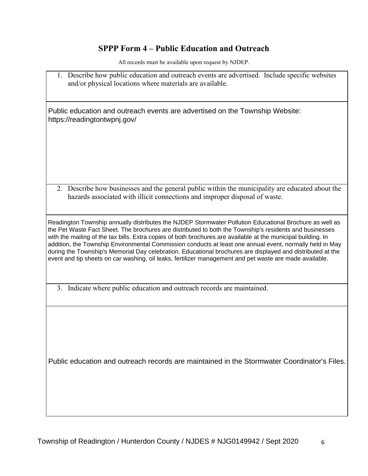### **SPPP Form 4 – Public Education and Outreach**

All records must be available upon request by NJDEP.

1. Describe how public education and outreach events are advertised. Include specific websites and/or physical locations where materials are available.

Public education and outreach events are advertised on the Township Website: https://readingtontwpnj.gov/

2. Describe how businesses and the general public within the municipality are educated about the hazards associated with illicit connections and improper disposal of waste.

Readington Township annually distributes the NJDEP Stormwater Pollution Educational Brochure as well as the Pet Waste Fact Sheet. The brochures are distributed to both the Township's residents and businesses with the mailing of the tax bills. Extra copies of both brochures are available at the municipal building. In addition, the Township Environmental Commission conducts at least one annual event, normally held in May during the Township's Memorial Day celebration. Educational brochures are displayed and distributed at the event and tip sheets on car washing, oil leaks, fertilizer management and pet waste are made available.

3. Indicate where public education and outreach records are maintained.

Public education and outreach records are maintained in the Stormwater Coordinator's Files.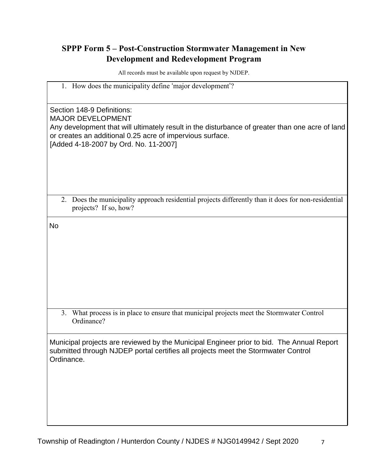# **SPPP Form 5 – Post-Construction Stormwater Management in New Development and Redevelopment Program**

| 1. How does the municipality define 'major development'?                                                                                                                                     |  |  |  |
|----------------------------------------------------------------------------------------------------------------------------------------------------------------------------------------------|--|--|--|
|                                                                                                                                                                                              |  |  |  |
| Section 148-9 Definitions:<br><b>MAJOR DEVELOPMENT</b><br>Any development that will ultimately result in the disturbance of greater than one acre of land                                    |  |  |  |
| or creates an additional 0.25 acre of impervious surface.<br>[Added 4-18-2007 by Ord. No. 11-2007]                                                                                           |  |  |  |
|                                                                                                                                                                                              |  |  |  |
| 2. Does the municipality approach residential projects differently than it does for non-residential<br>projects? If so, how?                                                                 |  |  |  |
| <b>No</b>                                                                                                                                                                                    |  |  |  |
|                                                                                                                                                                                              |  |  |  |
|                                                                                                                                                                                              |  |  |  |
|                                                                                                                                                                                              |  |  |  |
|                                                                                                                                                                                              |  |  |  |
|                                                                                                                                                                                              |  |  |  |
|                                                                                                                                                                                              |  |  |  |
| What process is in place to ensure that municipal projects meet the Stormwater Control<br>3.<br>Ordinance?                                                                                   |  |  |  |
| Municipal projects are reviewed by the Municipal Engineer prior to bid. The Annual Report<br>submitted through NJDEP portal certifies all projects meet the Stormwater Control<br>Ordinance. |  |  |  |
|                                                                                                                                                                                              |  |  |  |
|                                                                                                                                                                                              |  |  |  |
|                                                                                                                                                                                              |  |  |  |
|                                                                                                                                                                                              |  |  |  |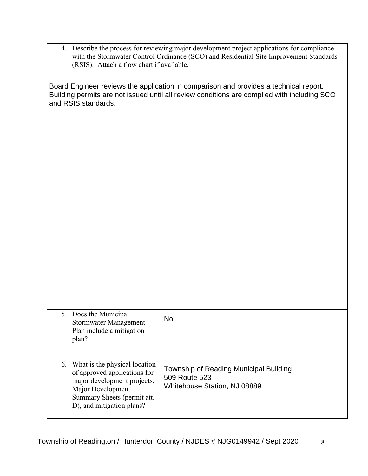| 4. Describe the process for reviewing major development project applications for compliance |
|---------------------------------------------------------------------------------------------|
| with the Stormwater Control Ordinance (SCO) and Residential Site Improvement Standards      |
| (RSIS). Attach a flow chart if available.                                                   |

Board Engineer reviews the application in comparison and provides a technical report. Building permits are not issued until all review conditions are complied with including SCO and RSIS standards.

| 5. Does the Municipal<br>Stormwater Management<br>Plan include a mitigation<br>plan?                                                                                             | No                                                                                      |
|----------------------------------------------------------------------------------------------------------------------------------------------------------------------------------|-----------------------------------------------------------------------------------------|
| 6. What is the physical location<br>of approved applications for<br>major development projects,<br>Major Development<br>Summary Sheets (permit att.<br>D), and mitigation plans? | Township of Reading Municipal Building<br>509 Route 523<br>Whitehouse Station, NJ 08889 |

8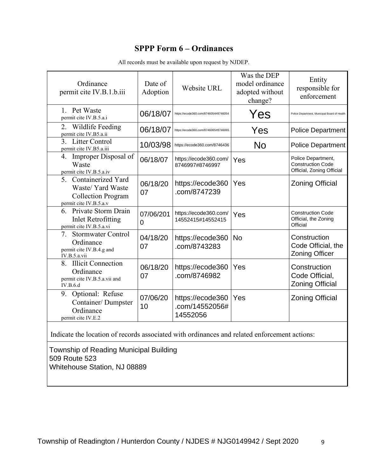## **SPPP Form 6 – Ordinances**

|                                                                                         | Website URL                                    | model ordinance<br>adopted without<br>change? | Entity<br>responsible for<br>enforcement                                                     |  |
|-----------------------------------------------------------------------------------------|------------------------------------------------|-----------------------------------------------|----------------------------------------------------------------------------------------------|--|
| 06/18/07                                                                                | https://ecode360.com/8746054#8746054           | Yes                                           | Police Department, Municipal Board of Health                                                 |  |
| 06/18/07                                                                                | https://ecode360.com/8746065#8746065           | Yes                                           | <b>Police Department</b>                                                                     |  |
| 10/03/98                                                                                | https://ecode360.com/8746436                   | <b>No</b>                                     | <b>Police Department</b>                                                                     |  |
| 06/18/07                                                                                | https://ecode360.com/<br>8746997#8746997       | Yes                                           | Police Department,<br><b>Construction Code</b><br>Official, Zoning Official                  |  |
| 06/18/20<br>07                                                                          | https://ecode360<br>.com/8747239               | Yes                                           | <b>Zoning Official</b>                                                                       |  |
| 07/06/201<br>0                                                                          | https://ecode360.com/<br>14552415#14552415     | Yes                                           | <b>Construction Code</b><br>Official, the Zoning<br>Official                                 |  |
| 04/18/20<br>07                                                                          | https://ecode360<br>.com/8743283               | <b>No</b>                                     | Construction<br>Code Official, the<br><b>Zoning Officer</b>                                  |  |
| 06/18/20<br>07                                                                          | https://ecode360<br>.com/8746982               | Yes                                           | Construction<br>Code Official,<br><b>Zoning Official</b>                                     |  |
| 07/06/20<br>10                                                                          | https://ecode360<br>.com/14552056#<br>14552056 | Yes                                           | <b>Zoning Official</b>                                                                       |  |
|                                                                                         |                                                |                                               |                                                                                              |  |
| Township of Reading Municipal Building<br>509 Route 523<br>Whitehouse Station, NJ 08889 |                                                |                                               |                                                                                              |  |
|                                                                                         |                                                |                                               | Indicate the location of records associated with ordinances and related enforcement actions: |  |

All records must be available upon request by NJDEP.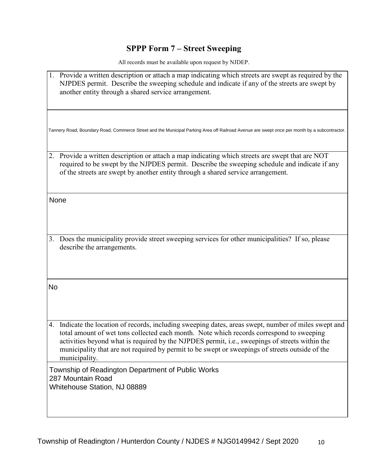# **SPPP Form 7 – Street Sweeping**

| 1. Provide a written description or attach a map indicating which streets are swept as required by the<br>NJPDES permit. Describe the sweeping schedule and indicate if any of the streets are swept by<br>another entity through a shared service arrangement.                                                                                                                                                         |
|-------------------------------------------------------------------------------------------------------------------------------------------------------------------------------------------------------------------------------------------------------------------------------------------------------------------------------------------------------------------------------------------------------------------------|
| Tannery Road, Boundary Road, Commerce Street and the Municipal Parking Area off Railroad Avenue are swept once per month by a subcontractor.                                                                                                                                                                                                                                                                            |
| Provide a written description or attach a map indicating which streets are swept that are NOT<br>2.<br>required to be swept by the NJPDES permit. Describe the sweeping schedule and indicate if any<br>of the streets are swept by another entity through a shared service arrangement.                                                                                                                                |
| None                                                                                                                                                                                                                                                                                                                                                                                                                    |
| 3. Does the municipality provide street sweeping services for other municipalities? If so, please<br>describe the arrangements.                                                                                                                                                                                                                                                                                         |
| No                                                                                                                                                                                                                                                                                                                                                                                                                      |
| 4. Indicate the location of records, including sweeping dates, areas swept, number of miles swept and<br>total amount of wet tons collected each month. Note which records correspond to sweeping<br>activities beyond what is required by the NJPDES permit, i.e., sweepings of streets within the<br>municipality that are not required by permit to be swept or sweepings of streets outside of the<br>municipality. |
| Township of Readington Department of Public Works<br>287 Mountain Road<br>Whitehouse Station, NJ 08889                                                                                                                                                                                                                                                                                                                  |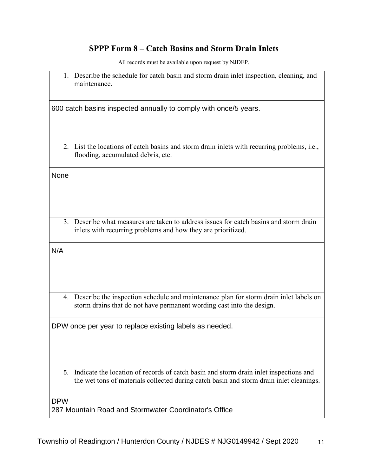## **SPPP Form 8 – Catch Basins and Storm Drain Inlets**

|             | 1. Describe the schedule for catch basin and storm drain inlet inspection, cleaning, and<br>maintenance.                                                                         |  |  |  |  |
|-------------|----------------------------------------------------------------------------------------------------------------------------------------------------------------------------------|--|--|--|--|
|             | 600 catch basins inspected annually to comply with once/5 years.                                                                                                                 |  |  |  |  |
|             | 2. List the locations of catch basins and storm drain inlets with recurring problems, i.e.,<br>flooding, accumulated debris, etc.                                                |  |  |  |  |
| <b>None</b> |                                                                                                                                                                                  |  |  |  |  |
|             | 3. Describe what measures are taken to address issues for catch basins and storm drain<br>inlets with recurring problems and how they are prioritized.                           |  |  |  |  |
| N/A         |                                                                                                                                                                                  |  |  |  |  |
|             | 4. Describe the inspection schedule and maintenance plan for storm drain inlet labels on<br>storm drains that do not have permanent wording cast into the design.                |  |  |  |  |
|             | DPW once per year to replace existing labels as needed.                                                                                                                          |  |  |  |  |
| 5.          | Indicate the location of records of catch basin and storm drain inlet inspections and<br>the wet tons of materials collected during catch basin and storm drain inlet cleanings. |  |  |  |  |
| <b>DPW</b>  | 287 Mountain Road and Stormwater Coordinator's Office                                                                                                                            |  |  |  |  |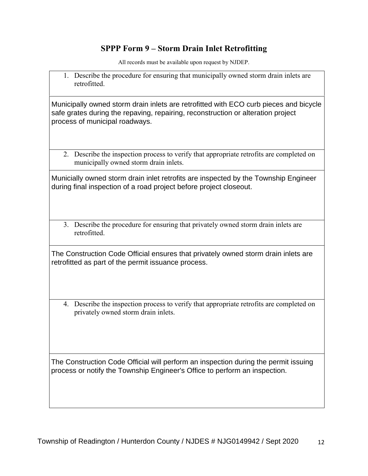## **SPPP Form 9 – Storm Drain Inlet Retrofitting**

All records must be available upon request by NJDEP.

1. Describe the procedure for ensuring that municipally owned storm drain inlets are retrofitted.

Municipally owned storm drain inlets are retrofitted with ECO curb pieces and bicycle safe grates during the repaving, repairing, reconstruction or alteration project process of municipal roadways.

2. Describe the inspection process to verify that appropriate retrofits are completed on municipally owned storm drain inlets.

Municially owned storm drain inlet retrofits are inspected by the Township Engineer during final inspection of a road project before project closeout.

3. Describe the procedure for ensuring that privately owned storm drain inlets are retrofitted.

The Construction Code Official ensures that privately owned storm drain inlets are retrofitted as part of the permit issuance process.

4. Describe the inspection process to verify that appropriate retrofits are completed on privately owned storm drain inlets.

The Construction Code Official will perform an inspection during the permit issuing process or notify the Township Engineer's Office to perform an inspection.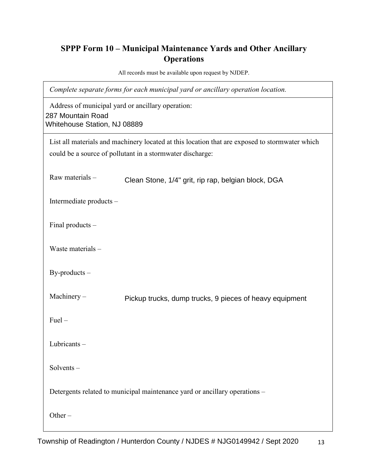# **SPPP Form 10 – Municipal Maintenance Yards and Other Ancillary Operations**

All records must be available upon request by NJDEP.

*Complete separate forms for each municipal yard or ancillary operation location.*

Address of municipal yard or ancillary operation: 287 Mountain Road Whitehouse Station, NJ 08889

| List all materials and machinery located at this location that are exposed to stormwater which<br>could be a source of pollutant in a stormwater discharge: |                                                                            |  |  |  |
|-------------------------------------------------------------------------------------------------------------------------------------------------------------|----------------------------------------------------------------------------|--|--|--|
| Raw materials-                                                                                                                                              | Clean Stone, 1/4" grit, rip rap, belgian block, DGA                        |  |  |  |
| Intermediate products -                                                                                                                                     |                                                                            |  |  |  |
| Final products -                                                                                                                                            |                                                                            |  |  |  |
| Waste materials -                                                                                                                                           |                                                                            |  |  |  |
| $By$ -products $-$                                                                                                                                          |                                                                            |  |  |  |
| Machinery-                                                                                                                                                  | Pickup trucks, dump trucks, 9 pieces of heavy equipment                    |  |  |  |
| $Fuel -$                                                                                                                                                    |                                                                            |  |  |  |
| Lubricants-                                                                                                                                                 |                                                                            |  |  |  |
| $Solvents -$                                                                                                                                                |                                                                            |  |  |  |
|                                                                                                                                                             | Detergents related to municipal maintenance yard or ancillary operations - |  |  |  |
| Other $-$                                                                                                                                                   |                                                                            |  |  |  |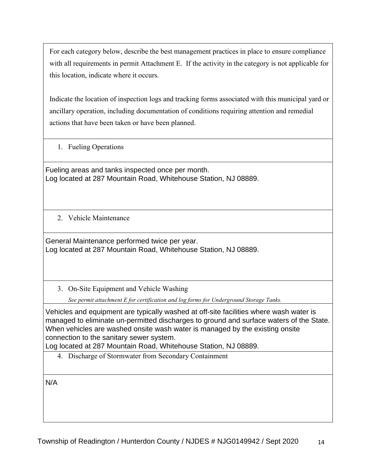For each category below, describe the best management practices in place to ensure compliance with all requirements in permit Attachment E. If the activity in the category is not applicable for this location, indicate where it occurs.

Indicate the location of inspection logs and tracking forms associated with this municipal yard or ancillary operation, including documentation of conditions requiring attention and remedial actions that have been taken or have been planned.

1. Fueling Operations

Fueling areas and tanks inspected once per month. Log located at 287 Mountain Road, Whitehouse Station, NJ 08889.

2. Vehicle Maintenance

General Maintenance performed twice per year. Log located at 287 Mountain Road, Whitehouse Station, NJ 08889.

3. On-Site Equipment and Vehicle Washing

*See permit attachment E for certification and log forms for Underground Storage Tanks.*

Vehicles and equipment are typically washed at off-site facilities where wash water is managed to eliminate un-permitted discharges to ground and surface waters of the State. When vehicles are washed onsite wash water is managed by the existing onsite connection to the sanitary sewer system.

Log located at 287 Mountain Road, Whitehouse Station, NJ 08889.

4. Discharge of Stormwater from Secondary Containment

N/A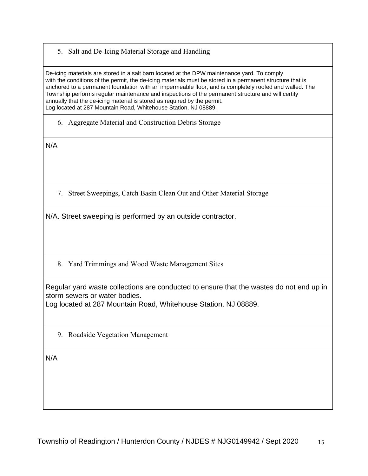5. Salt and De-Icing Material Storage and Handling

De-icing materials are stored in a salt barn located at the DPW maintenance yard. To comply with the conditions of the permit, the de-icing materials must be stored in a permanent structure that is anchored to a permanent foundation with an impermeable floor, and is completely roofed and walled. The Township performs regular maintenance and inspections of the permanent structure and will certify annually that the de-icing material is stored as required by the permit. Log located at 287 Mountain Road, Whitehouse Station, NJ 08889.

6. Aggregate Material and Construction Debris Storage

N/A

7. Street Sweepings, Catch Basin Clean Out and Other Material Storage

N/A. Street sweeping is performed by an outside contractor.

8. Yard Trimmings and Wood Waste Management Sites

Regular yard waste collections are conducted to ensure that the wastes do not end up in storm sewers or water bodies.

Log located at 287 Mountain Road, Whitehouse Station, NJ 08889.

9. Roadside Vegetation Management

N/A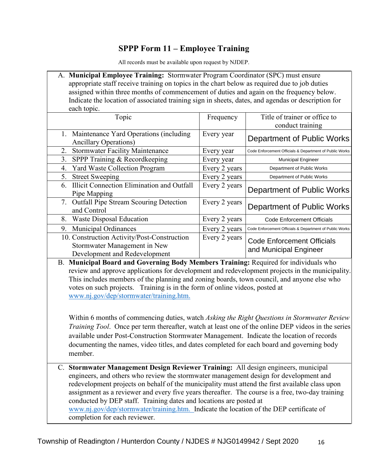## **SPPP Form 11 – Employee Training**

All records must be available upon request by NJDEP.

| A. Municipal Employee Training: Stormwater Program Coordinator (SPC) must ensure                   |
|----------------------------------------------------------------------------------------------------|
| appropriate staff receive training on topics in the chart below as required due to job duties      |
| assigned within three months of commencement of duties and again on the frequency below.           |
| Indicate the location of associated training sign in sheets, dates, and agendas or description for |
| each topic.                                                                                        |
|                                                                                                    |

| Topic                                                                                                        | Frequency     | Title of trainer or office to                               |
|--------------------------------------------------------------------------------------------------------------|---------------|-------------------------------------------------------------|
|                                                                                                              |               | conduct training                                            |
| 1. Maintenance Yard Operations (including)<br><b>Ancillary Operations</b> )                                  | Every year    | Department of Public Works                                  |
| <b>Stormwater Facility Maintenance</b><br>2.                                                                 | Every year    | Code Enforcement Officials & Department of Public Works     |
| SPPP Training & Recordkeeping<br>3.                                                                          | Every year    | <b>Municipal Engineer</b>                                   |
| <b>Yard Waste Collection Program</b><br>4.                                                                   | Every 2 years | Department of Public Works                                  |
| <b>Street Sweeping</b><br>5.                                                                                 | Every 2 years | Department of Public Works                                  |
| Illicit Connection Elimination and Outfall<br>6.<br>Pipe Mapping                                             | Every 2 years | Department of Public Works                                  |
| 7. Outfall Pipe Stream Scouring Detection<br>and Control                                                     | Every 2 years | Department of Public Works                                  |
| Waste Disposal Education<br>8.                                                                               | Every 2 years | Code Enforcement Officials                                  |
| <b>Municipal Ordinances</b><br>9.                                                                            | Every 2 years | Code Enforcement Officials & Department of Public Works     |
| 10. Construction Activity/Post-Construction<br>Stormwater Management in New<br>Development and Redevelopment | Every 2 years | <b>Code Enforcement Officials</b><br>and Municipal Engineer |

B. **Municipal Board and Governing Body Members Training:** Required for individuals who review and approve applications for development and redevelopment projects in the municipality. This includes members of the planning and zoning boards, town council, and anyone else who votes on such projects. Training is in the form of online videos, posted at [www.nj.gov/dep/stormwater/training.htm.](http://www.nj.gov/dep/stormwater/training.htm)

Within 6 months of commencing duties, watch *Asking the Right Questions in Stormwater Review Training Tool*. Once per term thereafter, watch at least one of the online DEP videos in the series available under Post-Construction Stormwater Management. Indicate the location of records documenting the names, video titles, and dates completed for each board and governing body member.

C. **Stormwater Management Design Reviewer Training:** All design engineers, municipal engineers, and others who review the stormwater management design for development and redevelopment projects on behalf of the municipality must attend the first available class upon assignment as a reviewer and every five years thereafter. The course is a free, two-day training conducted by DEP staff. Training dates and locations are posted at [www.nj.gov/dep/stormwater/training.htm.](http://www.nj.gov/dep/stormwater/training.htm) Indicate the location of the DEP certificate of completion for each reviewer.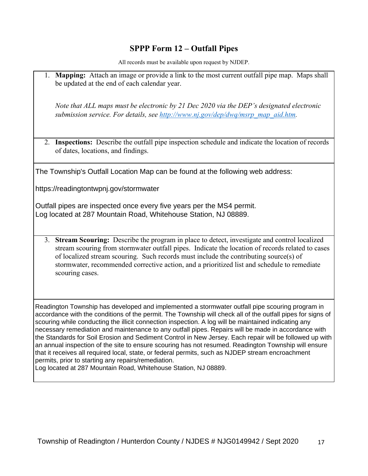## **SPPP Form 12 – Outfall Pipes**

All records must be available upon request by NJDEP.

1. **Mapping:** Attach an image or provide a link to the most current outfall pipe map. Maps shall be updated at the end of each calendar year.

*Note that ALL maps must be electronic by 21 Dec 2020 via the DEP's designated electronic submission service. For details, see [http://www.nj.gov/dep/dwq/msrp\\_map\\_aid.htm.](http://www.nj.gov/dep/dwq/msrp_map_aid.htm)*

2. **Inspections:** Describe the outfall pipe inspection schedule and indicate the location of records of dates, locations, and findings.

The Township's Outfall Location Map can be found at the following web address:

https://readingtontwpnj.gov/stormwater

Outfall pipes are inspected once every five years per the MS4 permit. Log located at 287 Mountain Road, Whitehouse Station, NJ 08889.

3. **Stream Scouring:** Describe the program in place to detect, investigate and control localized stream scouring from stormwater outfall pipes. Indicate the location of records related to cases of localized stream scouring. Such records must include the contributing source(s) of stormwater, recommended corrective action, and a prioritized list and schedule to remediate scouring cases.

Readington Township has developed and implemented a stormwater outfall pipe scouring program in accordance with the conditions of the permit. The Township will check all of the outfall pipes for signs of scouring while conducting the illicit connection inspection. A log will be maintained indicating any necessary remediation and maintenance to any outfall pipes. Repairs will be made in accordance with the Standards for Soil Erosion and Sediment Control in New Jersey. Each repair will be followed up with an annual inspection of the site to ensure scouring has not resumed. Readington Township will ensure that it receives all required local, state, or federal permits, such as NJDEP stream encroachment permits, prior to starting any repairs/remediation.

Log located at 287 Mountain Road, Whitehouse Station, NJ 08889.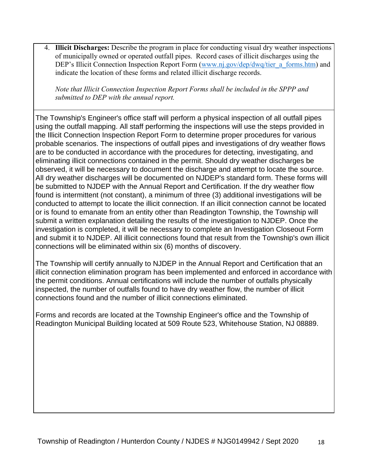4. **Illicit Discharges:** Describe the program in place for conducting visual dry weather inspections of municipally owned or operated outfall pipes. Record cases of illicit discharges using the DEP's Illicit Connection Inspection Report Form [\(www.nj.gov/dep/dwq/tier\\_a\\_forms.htm\)](http://www.nj.gov/dep/dwq/tier_a_forms.htm) and indicate the location of these forms and related illicit discharge records.

*Note that Illicit Connection Inspection Report Forms shall be included in the SPPP and submitted to DEP with the annual report.*

The Township's Engineer's office staff will perform a physical inspection of all outfall pipes using the outfall mapping. All staff performing the inspections will use the steps provided in the Illicit Connection Inspection Report Form to determine proper procedures for various probable scenarios. The inspections of outfall pipes and investigations of dry weather flows are to be conducted in accordance with the procedures for detecting, investigating, and eliminating illicit connections contained in the permit. Should dry weather discharges be observed, it will be necessary to document the discharge and attempt to locate the source. All dry weather discharges will be documented on NJDEP's standard form. These forms will be submitted to NJDEP with the Annual Report and Certification. If the dry weather flow found is intermittent (not constant), a minimum of three (3) additional investigations will be conducted to attempt to locate the illicit connection. If an illicit connection cannot be located or is found to emanate from an entity other than Readington Township, the Township will submit a written explanation detailing the results of the investigation to NJDEP. Once the investigation is completed, it will be necessary to complete an lnvestigation Closeout Form and submit it to NJDEP. All illicit connections found that result from the Township's own illicit connections will be eliminated within six (6) months of discovery.

The Township will certify annually to NJDEP in the Annual Report and Certification that an illicit connection elimination program has been implemented and enforced in accordance with the permit conditions. Annual certifications will include the number of outfalls physically inspected, the number of outfalls found to have dry weather flow, the number of illicit connections found and the number of illicit connections eliminated.

Forms and records are located at the Township Engineer's office and the Township of Readington Municipal Building located at 509 Route 523, Whitehouse Station, NJ 08889.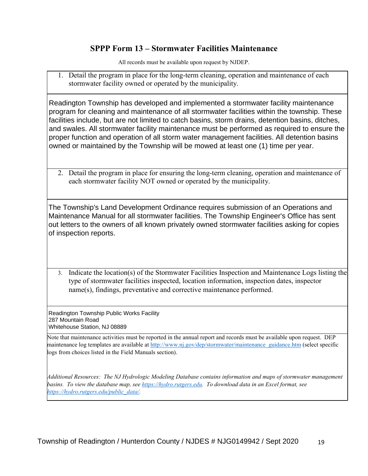#### **SPPP Form 13 – Stormwater Facilities Maintenance**

All records must be available upon request by NJDEP.

1. Detail the program in place for the long-term cleaning, operation and maintenance of each stormwater facility owned or operated by the municipality.

Readington Township has developed and implemented a stormwater facility maintenance program for cleaning and maintenance of all stormwater facilities within the township. These facilities include, but are not limited to catch basins, storm drains, detention basins, ditches, and swales. All stormwater facility maintenance must be performed as required to ensure the proper function and operation of all storm water management facilities. All detention basins owned or maintained by the Township will be mowed at least one (1) time per year.

2. Detail the program in place for ensuring the long-term cleaning, operation and maintenance of each stormwater facility NOT owned or operated by the municipality.

The Township's Land Development Ordinance requires submission of an Operations and Maintenance Manual for all stormwater facilities. The Township Engineer's Office has sent out letters to the owners of all known privately owned stormwater facilities asking for copies of inspection reports.

3. Indicate the location(s) of the Stormwater Facilities Inspection and Maintenance Logs listing the type of stormwater facilities inspected, location information, inspection dates, inspector name(s), findings, preventative and corrective maintenance performed.

Readington Township Public Works Facility 287 Mountain Road Whitehouse Station, NJ 08889

Note that maintenance activities must be reported in the annual report and records must be available upon request. DEP maintenance log templates are available at [http://www.nj.gov/dep/stormwater/maintenance\\_guidance.htm](http://www.nj.gov/dep/stormwater/maintenance_guidance.htm) (select specific logs from choices listed in the Field Manuals section).

*Additional Resources: The NJ Hydrologic Modeling Database contains information and maps of stormwater management basins. To view the database map, see [https://hydro.rutgers.edu.](https://hydro.rutgers.edu/) To download data in an Excel format, see [https://hydro.rutgers.edu/public\\_data/.](https://hydro.rutgers.edu/public_data/)*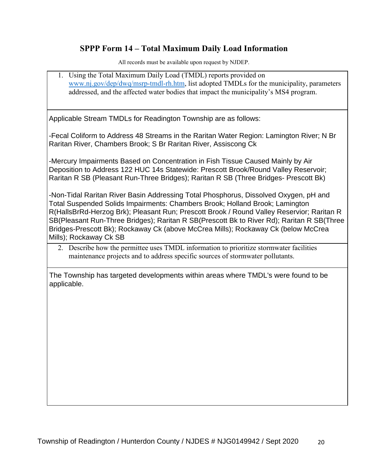## **SPPP Form 14 – Total Maximum Daily Load Information**

All records must be available upon request by NJDEP.

1. Using the Total Maximum Daily Load (TMDL) reports provided on [www.nj.gov/dep/dwq/msrp-tmdl-rh.htm,](http://www.nj.gov/dep/dwq/msrp-tmdl-rh.htm) list adopted TMDLs for the municipality, parameters addressed, and the affected water bodies that impact the municipality's MS4 program.

Applicable Stream TMDLs for Readington Township are as follows:

-Fecal Coliform to Address 48 Streams in the Raritan Water Region: Lamington River; N Br Raritan River, Chambers Brook; S Br Raritan River, Assiscong Ck

-Mercury Impairments Based on Concentration in Fish Tissue Caused Mainly by Air Deposition to Address 122 HUC 14s Statewide: Prescott Brook/Round Valley Reservoir; Raritan R SB (Pleasant Run-Three Bridges); Raritan R SB (Three Bridges- Prescott Bk)

-Non-Tidal Raritan River Basin Addressing Total Phosphorus, Dissolved Oxygen, pH and Total Suspended Solids Impairments: Chambers Brook; Holland Brook; Lamington R(HallsBrRd-Herzog Brk); Pleasant Run; Prescott Brook / Round Valley Reservior; Raritan R SB(Pleasant Run-Three Bridges); Raritan R SB(Prescott Bk to River Rd); Raritan R SB(Three Bridges-Prescott Bk); Rockaway Ck (above McCrea Mills); Rockaway Ck (below McCrea Mills); Rockaway Ck SB

2. Describe how the permittee uses TMDL information to prioritize stormwater facilities maintenance projects and to address specific sources of stormwater pollutants.

The Township has targeted developments within areas where TMDL's were found to be applicable.